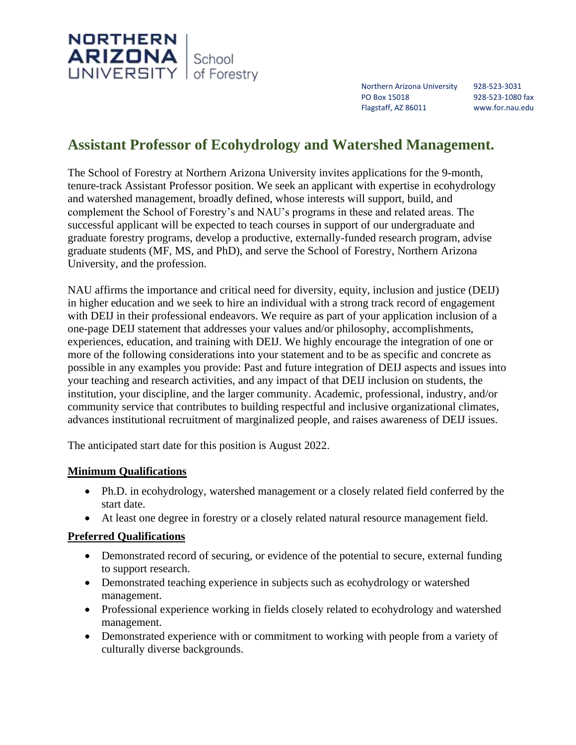

Northern Arizona University 928-523-3031 PO Box 15018 928-523-1080 fax Flagstaff, AZ 86011 www.for.nau.edu

# **Assistant Professor of Ecohydrology and Watershed Management.**

The School of Forestry at Northern Arizona University invites applications for the 9-month, tenure-track Assistant Professor position. We seek an applicant with expertise in ecohydrology and watershed management, broadly defined, whose interests will support, build, and complement the School of Forestry's and NAU's programs in these and related areas. The successful applicant will be expected to teach courses in support of our undergraduate and graduate forestry programs, develop a productive, externally-funded research program, advise graduate students (MF, MS, and PhD), and serve the School of Forestry, Northern Arizona University, and the profession.

NAU affirms the importance and critical need for diversity, equity, inclusion and justice (DEIJ) in higher education and we seek to hire an individual with a strong track record of engagement with DEIJ in their professional endeavors. We require as part of your application inclusion of a one-page DEIJ statement that addresses your values and/or philosophy, accomplishments, experiences, education, and training with DEIJ. We highly encourage the integration of one or more of the following considerations into your statement and to be as specific and concrete as possible in any examples you provide: Past and future integration of DEIJ aspects and issues into your teaching and research activities, and any impact of that DEIJ inclusion on students, the institution, your discipline, and the larger community. Academic, professional, industry, and/or community service that contributes to building respectful and inclusive organizational climates, advances institutional recruitment of marginalized people, and raises awareness of DEIJ issues.

The anticipated start date for this position is August 2022.

## **Minimum Qualifications**

- Ph.D. in ecohydrology, watershed management or a closely related field conferred by the start date.
- At least one degree in forestry or a closely related natural resource management field.

## **Preferred Qualifications**

- Demonstrated record of securing, or evidence of the potential to secure, external funding to support research.
- Demonstrated teaching experience in subjects such as ecohydrology or watershed management.
- Professional experience working in fields closely related to ecohydrology and watershed management.
- Demonstrated experience with or commitment to working with people from a variety of culturally diverse backgrounds.